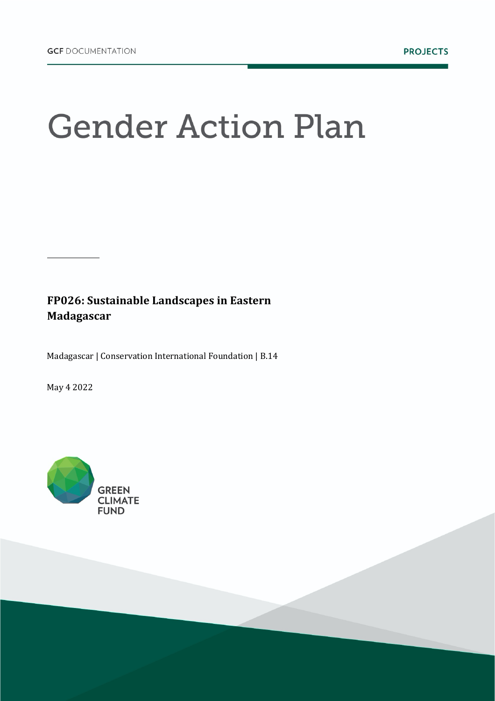## **Gender Action Plan**

FP026: Sustainable Landscapes in Eastern **Madagascar**

Madagascar | Conservation International Foundation | B.14

May 4 2022

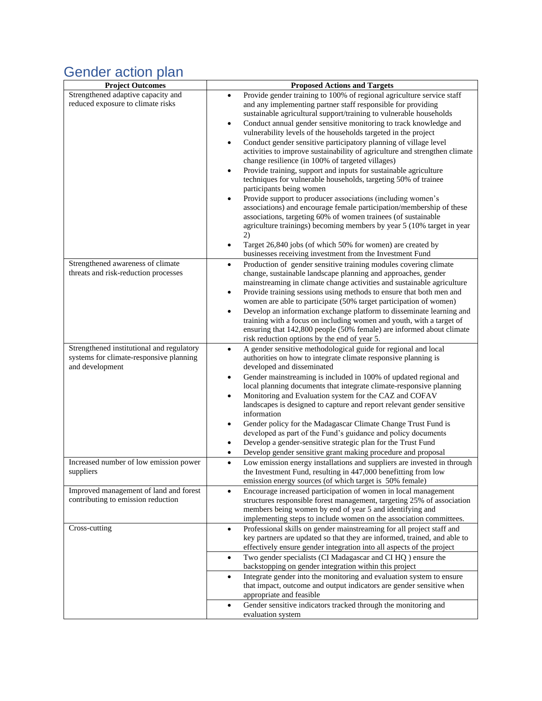## Gender action plan

| <b>Project Outcomes</b>                                                                                 | <b>Proposed Actions and Targets</b>                                                                                                                                                                                                                                                                                                                                                                                                                                                                                                                                                                                                                                                                                                                                                                                                                                                                                                                                                                                                                      |
|---------------------------------------------------------------------------------------------------------|----------------------------------------------------------------------------------------------------------------------------------------------------------------------------------------------------------------------------------------------------------------------------------------------------------------------------------------------------------------------------------------------------------------------------------------------------------------------------------------------------------------------------------------------------------------------------------------------------------------------------------------------------------------------------------------------------------------------------------------------------------------------------------------------------------------------------------------------------------------------------------------------------------------------------------------------------------------------------------------------------------------------------------------------------------|
| Strengthened adaptive capacity and<br>reduced exposure to climate risks                                 | Provide gender training to 100% of regional agriculture service staff<br>and any implementing partner staff responsible for providing<br>sustainable agricultural support/training to vulnerable households<br>Conduct annual gender sensitive monitoring to track knowledge and<br>$\bullet$<br>vulnerability levels of the households targeted in the project<br>Conduct gender sensitive participatory planning of village level<br>activities to improve sustainability of agriculture and strengthen climate<br>change resilience (in 100% of targeted villages)<br>Provide training, support and inputs for sustainable agriculture<br>$\bullet$<br>techniques for vulnerable households, targeting 50% of trainee<br>participants being women<br>Provide support to producer associations (including women's<br>$\bullet$<br>associations) and encourage female participation/membership of these<br>associations, targeting 60% of women trainees (of sustainable<br>agriculture trainings) becoming members by year 5 (10% target in year<br>2) |
|                                                                                                         | Target 26,840 jobs (of which 50% for women) are created by<br>$\bullet$<br>businesses receiving investment from the Investment Fund                                                                                                                                                                                                                                                                                                                                                                                                                                                                                                                                                                                                                                                                                                                                                                                                                                                                                                                      |
| Strengthened awareness of climate<br>threats and risk-reduction processes                               | Production of gender sensitive training modules covering climate<br>$\bullet$<br>change, sustainable landscape planning and approaches, gender<br>mainstreaming in climate change activities and sustainable agriculture<br>Provide training sessions using methods to ensure that both men and<br>$\bullet$<br>women are able to participate (50% target participation of women)<br>Develop an information exchange platform to disseminate learning and<br>$\bullet$<br>training with a focus on including women and youth, with a target of<br>ensuring that 142,800 people (50% female) are informed about climate<br>risk reduction options by the end of year 5.                                                                                                                                                                                                                                                                                                                                                                                   |
| Strengthened institutional and regulatory<br>systems for climate-responsive planning<br>and development | A gender sensitive methodological guide for regional and local<br>$\bullet$<br>authorities on how to integrate climate responsive planning is<br>developed and disseminated<br>Gender mainstreaming is included in 100% of updated regional and<br>$\bullet$<br>local planning documents that integrate climate-responsive planning<br>Monitoring and Evaluation system for the CAZ and COFAV<br>$\bullet$<br>landscapes is designed to capture and report relevant gender sensitive<br>information<br>Gender policy for the Madagascar Climate Change Trust Fund is<br>٠<br>developed as part of the Fund's guidance and policy documents<br>Develop a gender-sensitive strategic plan for the Trust Fund<br>$\bullet$<br>Develop gender sensitive grant making procedure and proposal<br>$\bullet$                                                                                                                                                                                                                                                     |
| Increased number of low emission power<br>suppliers                                                     | Low emission energy installations and suppliers are invested in through<br>$\bullet$<br>the Investment Fund, resulting in 447,000 benefitting from low                                                                                                                                                                                                                                                                                                                                                                                                                                                                                                                                                                                                                                                                                                                                                                                                                                                                                                   |
|                                                                                                         | emission energy sources (of which target is 50% female)                                                                                                                                                                                                                                                                                                                                                                                                                                                                                                                                                                                                                                                                                                                                                                                                                                                                                                                                                                                                  |
| Improved management of land and forest<br>contributing to emission reduction                            | Encourage increased participation of women in local management<br>$\bullet$<br>structures responsible forest management, targeting 25% of association<br>members being women by end of year 5 and identifying and<br>implementing steps to include women on the association committees.                                                                                                                                                                                                                                                                                                                                                                                                                                                                                                                                                                                                                                                                                                                                                                  |
| Cross-cutting                                                                                           | Professional skills on gender mainstreaming for all project staff and<br>$\bullet$<br>key partners are updated so that they are informed, trained, and able to<br>effectively ensure gender integration into all aspects of the project                                                                                                                                                                                                                                                                                                                                                                                                                                                                                                                                                                                                                                                                                                                                                                                                                  |
|                                                                                                         | Two gender specialists (CI Madagascar and CI HQ) ensure the<br>$\bullet$<br>backstopping on gender integration within this project                                                                                                                                                                                                                                                                                                                                                                                                                                                                                                                                                                                                                                                                                                                                                                                                                                                                                                                       |
|                                                                                                         | Integrate gender into the monitoring and evaluation system to ensure<br>$\bullet$<br>that impact, outcome and output indicators are gender sensitive when<br>appropriate and feasible                                                                                                                                                                                                                                                                                                                                                                                                                                                                                                                                                                                                                                                                                                                                                                                                                                                                    |
|                                                                                                         | Gender sensitive indicators tracked through the monitoring and<br>$\bullet$<br>evaluation system                                                                                                                                                                                                                                                                                                                                                                                                                                                                                                                                                                                                                                                                                                                                                                                                                                                                                                                                                         |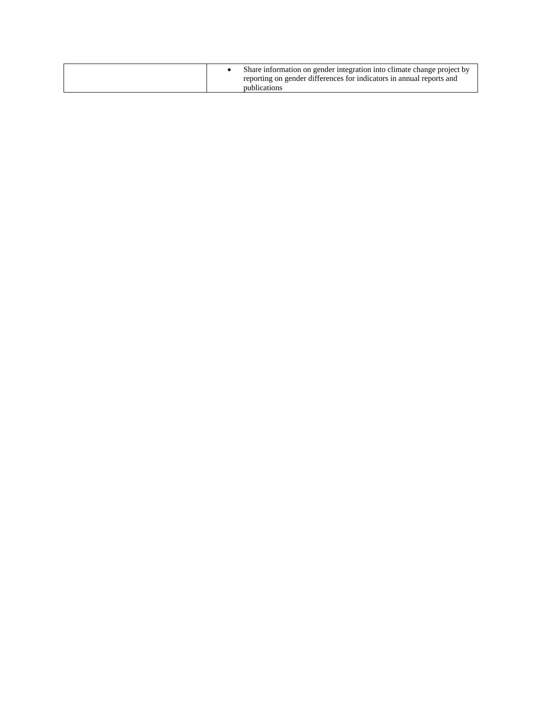|  |  | Share information on gender integration into climate change project by<br>reporting on gender differences for indicators in annual reports and<br>publications |
|--|--|----------------------------------------------------------------------------------------------------------------------------------------------------------------|
|--|--|----------------------------------------------------------------------------------------------------------------------------------------------------------------|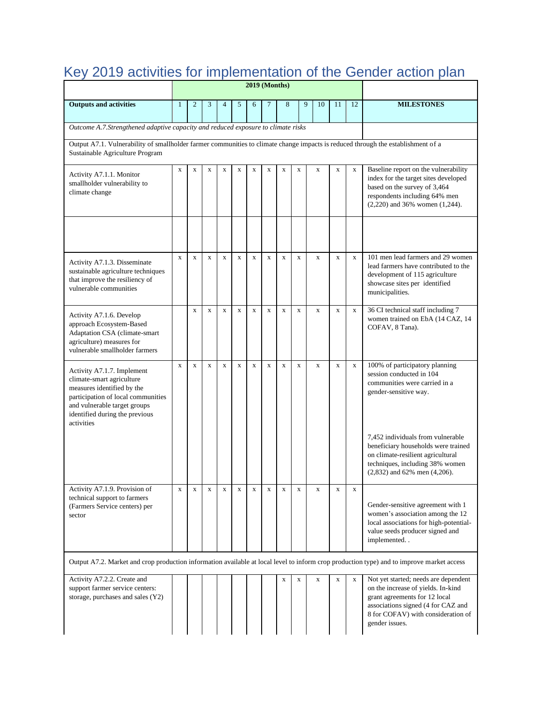| Key 2019 activities for implementation of the Gender action plan<br><b>2019 (Months)</b>                                                                                                                    |              |                |              |                |             |             |                |              |             |              |             |             |                                                                                                                                                                                                           |
|-------------------------------------------------------------------------------------------------------------------------------------------------------------------------------------------------------------|--------------|----------------|--------------|----------------|-------------|-------------|----------------|--------------|-------------|--------------|-------------|-------------|-----------------------------------------------------------------------------------------------------------------------------------------------------------------------------------------------------------|
|                                                                                                                                                                                                             |              |                |              |                |             |             |                |              |             |              |             |             |                                                                                                                                                                                                           |
| <b>Outputs and activities</b>                                                                                                                                                                               | $\mathbf{1}$ | $\overline{2}$ | 3            | $\overline{4}$ | 5           | 6           | $\overline{7}$ | 8            |             | 9<br>10      | 11          | 12          | <b>MILESTONES</b>                                                                                                                                                                                         |
| Outcome A.7.Strengthened adaptive capacity and reduced exposure to climate risks                                                                                                                            |              |                |              |                |             |             |                |              |             |              |             |             |                                                                                                                                                                                                           |
| Output A7.1. Vulnerability of smallholder farmer communities to climate change impacts is reduced through the establishment of a<br>Sustainable Agriculture Program                                         |              |                |              |                |             |             |                |              |             |              |             |             |                                                                                                                                                                                                           |
| Activity A7.1.1. Monitor<br>smallholder vulnerability to<br>climate change                                                                                                                                  | $\mathbf X$  | $\mathbf X$    | $\mathbf X$  | $\mathbf X$    | $\mathbf X$ | $\mathbf X$ | $\mathbf x$    | $\mathbf X$  | $\mathbf X$ | $\mathbf X$  | $\mathbf X$ | $\mathbf X$ | Baseline report on the vulnerability<br>index for the target sites developed<br>based on the survey of 3,464<br>respondents including 64% men<br>$(2,220)$ and 36% women $(1,244)$ .                      |
|                                                                                                                                                                                                             |              |                |              |                |             |             |                |              |             |              |             |             |                                                                                                                                                                                                           |
| Activity A7.1.3. Disseminate<br>sustainable agriculture techniques<br>that improve the resiliency of<br>vulnerable communities                                                                              | $\mathbf X$  | $\mathbf x$    | $\mathbf x$  | $\mathbf x$    | X           | $\mathbf x$ | $\mathbf X$    | $\mathbf X$  | $\mathbf X$ | $\mathbf x$  | $\mathbf X$ | $\mathbf x$ | 101 men lead farmers and 29 women<br>lead farmers have contributed to the<br>development of 115 agriculture<br>showcase sites per identified<br>municipalities.                                           |
| Activity A7.1.6. Develop<br>approach Ecosystem-Based<br>Adaptation CSA (climate-smart<br>agriculture) measures for<br>vulnerable smallholder farmers                                                        |              | $\mathbf x$    | $\mathbf x$  | $\mathbf x$    | X           | $\mathbf x$ | $\mathbf x$    | $\mathbf{x}$ | $\mathbf x$ | $\mathbf x$  | $\mathbf X$ | $\mathbf X$ | 36 CI technical staff including 7<br>women trained on EbA (14 CAZ, 14<br>COFAV, 8 Tana).                                                                                                                  |
| Activity A7.1.7. Implement<br>climate-smart agriculture<br>measures identified by the<br>participation of local communities<br>and vulnerable target groups<br>identified during the previous<br>activities | $\mathbf x$  | $\mathbf x$    | $\mathbf{x}$ | $\mathbf x$    | X           | $\mathbf x$ | $\mathbf x$    | $\mathbf{x}$ | $\mathbf x$ | $\mathbf{x}$ | $\mathbf x$ | $\mathbf X$ | 100% of participatory planning<br>session conducted in 104<br>communities were carried in a<br>gender-sensitive way.                                                                                      |
|                                                                                                                                                                                                             |              |                |              |                |             |             |                |              |             |              |             |             | 7,452 individuals from vulnerable<br>beneficiary households were trained<br>on climate-resilient agricultural<br>techniques, including 38% women<br>$(2,832)$ and 62% men $(4,206)$ .                     |
| Activity A7.1.9. Provision of<br>technical support to farmers<br>(Farmers Service centers) per<br>sector                                                                                                    | $\mathbf X$  | X              | $\mathbf{x}$ | $\mathbf x$    | $\mathbf X$ | $\mathbf X$ | $\mathbf X$    | $\mathbf X$  | $\mathbf X$ | $\mathbf X$  | $\mathbf X$ | $\mathbf x$ | Gender-sensitive agreement with 1<br>women's association among the 12<br>local associations for high-potential-<br>value seeds producer signed and<br>implemented                                         |
|                                                                                                                                                                                                             |              |                |              |                |             |             |                |              |             |              |             |             | Output A7.2. Market and crop production information available at local level to inform crop production type) and to improve market access                                                                 |
| Activity A7.2.2. Create and<br>support farmer service centers:<br>storage, purchases and sales (Y2)                                                                                                         |              |                |              |                |             |             |                | X            | $\mathbf X$ | X            | X           | $\mathbf X$ | Not yet started; needs are dependent<br>on the increase of yields. In-kind<br>grant agreements for 12 local<br>associations signed (4 for CAZ and<br>8 for COFAV) with consideration of<br>gender issues. |

## Key 2019 activities for implementation of the Gender action plan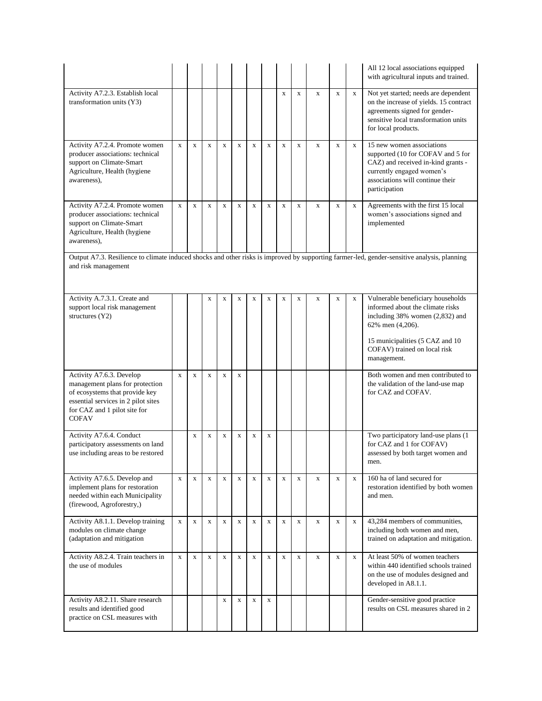|                                                                                                                                                                                      |              |             |              |              |             |             |              |             |              |             |             |             | All 12 local associations equipped<br>with agricultural inputs and trained.                                                                                                                                     |
|--------------------------------------------------------------------------------------------------------------------------------------------------------------------------------------|--------------|-------------|--------------|--------------|-------------|-------------|--------------|-------------|--------------|-------------|-------------|-------------|-----------------------------------------------------------------------------------------------------------------------------------------------------------------------------------------------------------------|
| Activity A7.2.3. Establish local<br>transformation units (Y3)                                                                                                                        |              |             |              |              |             |             |              | X           | $\mathbf x$  | X           | $\mathbf X$ | $\mathbf X$ | Not yet started; needs are dependent<br>on the increase of yields. 15 contract<br>agreements signed for gender-<br>sensitive local transformation units<br>for local products.                                  |
| Activity A7.2.4. Promote women<br>producer associations: technical<br>support on Climate-Smart<br>Agriculture, Health (hygiene<br>awareness),                                        | $\mathbf X$  | $\mathbf x$ | $\mathbf x$  | $\mathbf X$  | X           | $\mathbf X$ | $\mathbf X$  | X           | $\mathbf x$  | $\mathbf X$ | X           | X           | 15 new women associations<br>supported (10 for COFAV and 5 for<br>CAZ) and received in-kind grants -<br>currently engaged women's<br>associations will continue their<br>participation                          |
| Activity A7.2.4. Promote women<br>producer associations: technical<br>support on Climate-Smart<br>Agriculture, Health (hygiene<br>awareness),                                        | $\mathbf X$  | $\mathbf x$ | $\mathbf x$  | $\mathbf{x}$ | $\mathbf x$ | $\mathbf x$ | $\mathbf{x}$ | $\mathbf x$ | $\mathbf X$  | $\mathbf x$ | $\mathbf x$ | $\mathbf X$ | Agreements with the first 15 local<br>women's associations signed and<br>implemented                                                                                                                            |
| and risk management                                                                                                                                                                  |              |             |              |              |             |             |              |             |              |             |             |             | Output A7.3. Resilience to climate induced shocks and other risks is improved by supporting farmer-led, gender-sensitive analysis, planning                                                                     |
| Activity A.7.3.1. Create and<br>support local risk management<br>structures $(Y2)$                                                                                                   |              |             | $\mathbf X$  | $\mathbf x$  | $\mathbf X$ | $\mathbf x$ | $\mathbf X$  | $\mathbf X$ | $\mathbf X$  | $\mathbf X$ | $\mathbf X$ | $\mathbf X$ | Vulnerable beneficiary households<br>informed about the climate risks<br>including 38% women (2,832) and<br>62% men (4,206).<br>15 municipalities (5 CAZ and 10)<br>COFAV) trained on local risk<br>management. |
| Activity A7.6.3. Develop<br>management plans for protection<br>of ecosystems that provide key<br>essential services in 2 pilot sites<br>for CAZ and 1 pilot site for<br><b>COFAV</b> | $\mathbf x$  | $\mathbf X$ | $\mathbf x$  | $\mathbf X$  | $\mathbf X$ |             |              |             |              |             |             |             | Both women and men contributed to<br>the validation of the land-use map<br>for CAZ and COFAV.                                                                                                                   |
| Activity A7.6.4. Conduct<br>participatory assessments on land<br>use including areas to be restored                                                                                  |              | X           | $\mathbf X$  | $\mathbf x$  | $\mathbf X$ | $\mathbf X$ | $\mathbf X$  |             |              |             |             |             | Two participatory land-use plans (1<br>for CAZ and 1 for COFAV)<br>assessed by both target women and<br>men.                                                                                                    |
| Activity A7.6.5. Develop and<br>implement plans for restoration<br>needed within each Municipality<br>(firewood, Agroforestry,)                                                      | $\mathbf{x}$ | $\mathbf X$ | $\mathbf{x}$ | $\mathbf X$  | $\mathbf X$ | $\mathbf x$ | $\mathbf X$  | $\mathbf X$ | $\mathbf{x}$ | $\mathbf X$ | $\mathbf X$ | $\mathbf x$ | 160 ha of land secured for<br>restoration identified by both women<br>and men.                                                                                                                                  |
| Activity A8.1.1. Develop training<br>modules on climate change<br>(adaptation and mitigation                                                                                         | $\mathbf{x}$ | $\mathbf X$ | $\mathbf{X}$ | $\mathbf x$  | $\mathbf X$ | $\mathbf x$ | $\mathbf{X}$ | $\mathbf X$ | $\mathbf{x}$ | $\mathbf x$ | X           | $\mathbf X$ | 43,284 members of communities,<br>including both women and men,<br>trained on adaptation and mitigation.                                                                                                        |
| Activity A8.2.4. Train teachers in<br>the use of modules                                                                                                                             | $\mathbf{x}$ | $\mathbf x$ | $\mathbf{x}$ | $\mathbf x$  | $\mathbf x$ | $\mathbf x$ | $\mathbf x$  | $\mathbf x$ | $\mathbf{x}$ | $\mathbf x$ | $\mathbf x$ | $\mathbf x$ | At least 50% of women teachers<br>within 440 identified schools trained<br>on the use of modules designed and<br>developed in A8.1.1.                                                                           |
| Activity A8.2.11. Share research<br>results and identified good<br>practice on CSL measures with                                                                                     |              |             |              | $\mathbf X$  | $\mathbf X$ | $\mathbf X$ | $\mathbf X$  |             |              |             |             |             | Gender-sensitive good practice<br>results on CSL measures shared in 2                                                                                                                                           |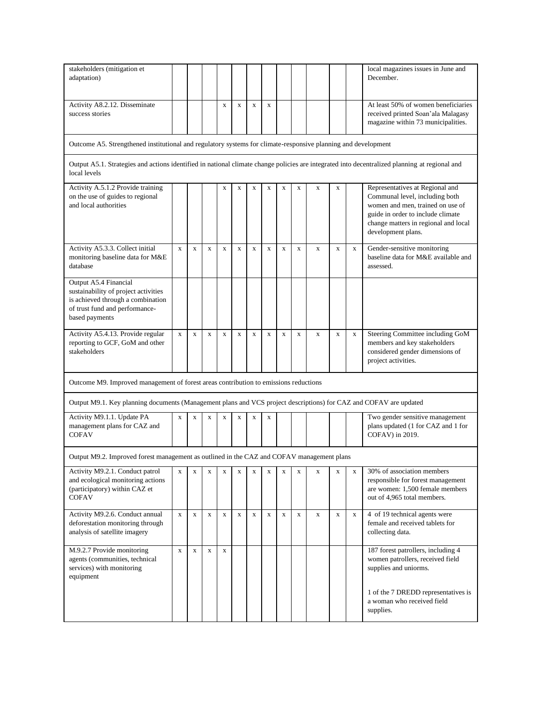| stakeholders (mitigation et<br>adaptation)                                                                                                                    |              |             |             |             |             |             |              |             |             |             |             |             | local magazines issues in June and<br>December.                                                                                                                                                          |
|---------------------------------------------------------------------------------------------------------------------------------------------------------------|--------------|-------------|-------------|-------------|-------------|-------------|--------------|-------------|-------------|-------------|-------------|-------------|----------------------------------------------------------------------------------------------------------------------------------------------------------------------------------------------------------|
| Activity A8.2.12. Disseminate<br>success stories                                                                                                              |              |             |             | $\mathbf X$ | $\mathbf X$ | $\mathbf X$ | x            |             |             |             |             |             | At least 50% of women beneficiaries<br>received printed Soan'ala Malagasy<br>magazine within 73 municipalities.                                                                                          |
| Outcome A5. Strengthened institutional and regulatory systems for climate-responsive planning and development                                                 |              |             |             |             |             |             |              |             |             |             |             |             |                                                                                                                                                                                                          |
| Output A5.1. Strategies and actions identified in national climate change policies are integrated into decentralized planning at regional and<br>local levels |              |             |             |             |             |             |              |             |             |             |             |             |                                                                                                                                                                                                          |
| Activity A.5.1.2 Provide training<br>on the use of guides to regional<br>and local authorities                                                                |              |             |             | X           | X           | $\mathbf X$ | $\mathbf X$  | X           | $\mathbf X$ | X           | X           |             | Representatives at Regional and<br>Communal level, including both<br>women and men, trained on use of<br>guide in order to include climate<br>change matters in regional and local<br>development plans. |
| Activity A5.3.3. Collect initial<br>monitoring baseline data for M&E<br>database                                                                              | $\mathbf x$  | $\mathbf x$ | $\mathbf X$ | $\mathbf X$ | $\mathbf x$ | $\mathbf X$ | $\mathbf X$  | $\mathbf x$ | $\mathbf X$ | $\mathbf x$ | $\mathbf X$ | $\mathbf X$ | Gender-sensitive monitoring<br>baseline data for M&E available and<br>assessed.                                                                                                                          |
| Output A5.4 Financial<br>sustainability of project activities<br>is achieved through a combination<br>of trust fund and performance-<br>based payments        |              |             |             |             |             |             |              |             |             |             |             |             |                                                                                                                                                                                                          |
| Activity A5.4.13. Provide regular<br>reporting to GCF, GoM and other<br>stakeholders                                                                          | $\mathbf{x}$ | $\mathbf x$ | $\mathbf x$ | $\mathbf x$ | $\mathbf X$ | $\mathbf X$ | $\mathbf{x}$ | $\mathbf X$ | $\mathbf X$ | $\mathbf x$ | $\mathbf x$ | $\mathbf X$ | Steering Committee including GoM<br>members and key stakeholders<br>considered gender dimensions of<br>project activities.                                                                               |
| Outcome M9. Improved management of forest areas contribution to emissions reductions                                                                          |              |             |             |             |             |             |              |             |             |             |             |             |                                                                                                                                                                                                          |
| Output M9.1. Key planning documents (Management plans and VCS project descriptions) for CAZ and COFAV are updated                                             |              |             |             |             |             |             |              |             |             |             |             |             |                                                                                                                                                                                                          |
| Activity M9.1.1. Update PA<br>management plans for CAZ and<br><b>COFAV</b>                                                                                    | $\mathbf X$  | $\mathbf X$ | $\mathbf x$ | $\mathbf X$ | $\mathbf x$ | $\mathbf x$ | X            |             |             |             |             |             | Two gender sensitive management<br>plans updated (1 for CAZ and 1 for<br>COFAV) in 2019.                                                                                                                 |
| Output M9.2. Improved forest management as outlined in the CAZ and COFAV management plans                                                                     |              |             |             |             |             |             |              |             |             |             |             |             |                                                                                                                                                                                                          |
| Activity M9.2.1. Conduct patrol<br>and ecological monitoring actions<br>(participatory) within CAZ et<br><b>COFAV</b>                                         | $\mathbf{X}$ | $\mathbf X$ | $\mathbf X$ | $\mathbf X$ | $\mathbf X$ | $\mathbf X$ | X            | X           | $\mathbf X$ | X           | $\mathbf X$ | $\mathbf X$ | 30% of association members<br>responsible for forest management<br>are women: 1,500 female members<br>out of 4,965 total members.                                                                        |
| Activity M9.2.6. Conduct annual<br>deforestation monitoring through<br>analysis of satellite imagery                                                          | $\mathbf X$  | $\mathbf X$ | $\mathbf X$ | $\mathbf X$ | $\mathbf X$ | $\mathbf X$ | $\mathbf X$  | $\mathbf X$ | $\mathbf X$ | $\mathbf X$ | $\mathbf X$ | $\mathbf X$ | 4 of 19 technical agents were<br>female and received tablets for<br>collecting data.                                                                                                                     |
| M.9.2.7 Provide monitoring<br>agents (communities, technical<br>services) with monitoring<br>equipment                                                        | $\mathbf X$  | $\mathbf X$ | $\mathbf x$ | $\mathbf x$ |             |             |              |             |             |             |             |             | 187 forest patrollers, including 4<br>women patrollers, received field<br>supplies and uniorms.                                                                                                          |
|                                                                                                                                                               |              |             |             |             |             |             |              |             |             |             |             |             | 1 of the 7 DREDD representatives is<br>a woman who received field<br>supplies.                                                                                                                           |